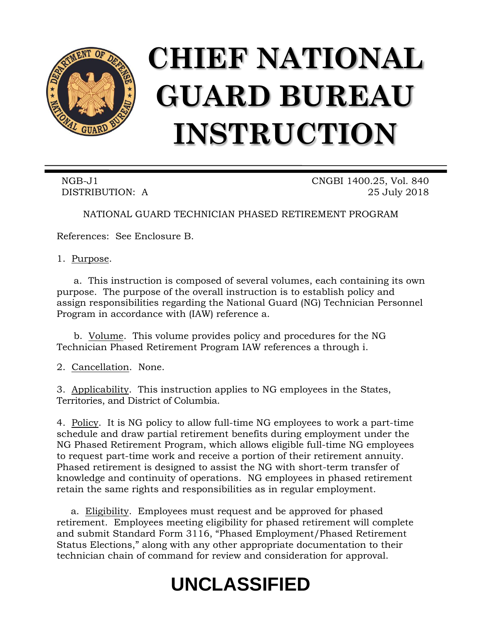

# **CHIEF NATIONAL GUARD BUREAU INSTRUCTION**

NGB-J1 CNGBI 1400.25, Vol. 840 DISTRIBUTION: A 25 July 2018

NATIONAL GUARD TECHNICIAN PHASED RETIREMENT PROGRAM

References: See Enclosure B.

1. Purpose.

a. This instruction is composed of several volumes, each containing its own purpose. The purpose of the overall instruction is to establish policy and assign responsibilities regarding the National Guard (NG) Technician Personnel Program in accordance with (IAW) reference a.

b. Volume. This volume provides policy and procedures for the NG Technician Phased Retirement Program IAW references a through i.

2. Cancellation. None.

3. Applicability. This instruction applies to NG employees in the States, Territories, and District of Columbia.

4. Policy. It is NG policy to allow full-time NG employees to work a part-time schedule and draw partial retirement benefits during employment under the NG Phased Retirement Program, which allows eligible full-time NG employees to request part-time work and receive a portion of their retirement annuity. Phased retirement is designed to assist the NG with short-term transfer of knowledge and continuity of operations. NG employees in phased retirement retain the same rights and responsibilities as in regular employment.

a. Eligibility. Employees must request and be approved for phased retirement. Employees meeting eligibility for phased retirement will complete and submit Standard Form 3116, "Phased Employment/Phased Retirement Status Elections," along with any other appropriate documentation to their technician chain of command for review and consideration for approval.

# **UNCLASSIFIED**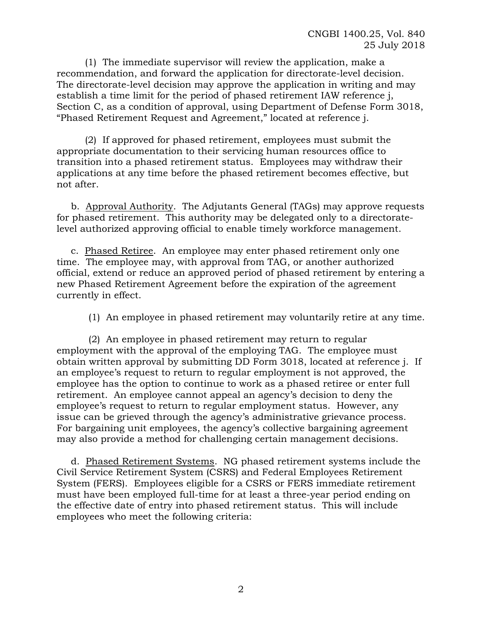(1) The immediate supervisor will review the application, make a recommendation, and forward the application for directorate-level decision. The directorate-level decision may approve the application in writing and may establish a time limit for the period of phased retirement IAW reference j, Section C, as a condition of approval, using Department of Defense Form 3018, "Phased Retirement Request and Agreement," located at reference j.

(2) If approved for phased retirement, employees must submit the appropriate documentation to their servicing human resources office to transition into a phased retirement status. Employees may withdraw their applications at any time before the phased retirement becomes effective, but not after.

b. Approval Authority. The Adjutants General (TAGs) may approve requests for phased retirement. This authority may be delegated only to a directoratelevel authorized approving official to enable timely workforce management.

c. Phased Retiree. An employee may enter phased retirement only one time. The employee may, with approval from TAG, or another authorized official, extend or reduce an approved period of phased retirement by entering a new Phased Retirement Agreement before the expiration of the agreement currently in effect.

(1) An employee in phased retirement may voluntarily retire at any time.

(2) An employee in phased retirement may return to regular employment with the approval of the employing TAG. The employee must obtain written approval by submitting DD Form 3018, located at reference j. If an employee's request to return to regular employment is not approved, the employee has the option to continue to work as a phased retiree or enter full retirement. An employee cannot appeal an agency's decision to deny the employee's request to return to regular employment status. However, any issue can be grieved through the agency's administrative grievance process. For bargaining unit employees, the agency's collective bargaining agreement may also provide a method for challenging certain management decisions.

d. Phased Retirement Systems. NG phased retirement systems include the Civil Service Retirement System (CSRS) and Federal Employees Retirement System (FERS). Employees eligible for a CSRS or FERS immediate retirement must have been employed full-time for at least a three-year period ending on the effective date of entry into phased retirement status. This will include employees who meet the following criteria: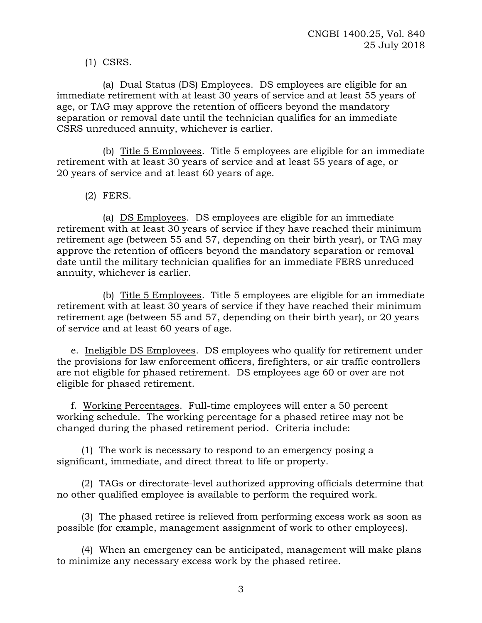# (1) CSRS.

(a) Dual Status (DS) Employees. DS employees are eligible for an immediate retirement with at least 30 years of service and at least 55 years of age, or TAG may approve the retention of officers beyond the mandatory separation or removal date until the technician qualifies for an immediate CSRS unreduced annuity, whichever is earlier.

(b) Title 5 Employees. Title 5 employees are eligible for an immediate retirement with at least 30 years of service and at least 55 years of age, or 20 years of service and at least 60 years of age.

# (2) FERS.

(a) DS Employees. DS employees are eligible for an immediate retirement with at least 30 years of service if they have reached their minimum retirement age (between 55 and 57, depending on their birth year), or TAG may approve the retention of officers beyond the mandatory separation or removal date until the military technician qualifies for an immediate FERS unreduced annuity, whichever is earlier.

(b) Title 5 Employees. Title 5 employees are eligible for an immediate retirement with at least 30 years of service if they have reached their minimum retirement age (between 55 and 57, depending on their birth year), or 20 years of service and at least 60 years of age.

e. Ineligible DS Employees. DS employees who qualify for retirement under the provisions for law enforcement officers, firefighters, or air traffic controllers are not eligible for phased retirement. DS employees age 60 or over are not eligible for phased retirement.

f. Working Percentages. Full-time employees will enter a 50 percent working schedule. The working percentage for a phased retiree may not be changed during the phased retirement period. Criteria include:

(1) The work is necessary to respond to an emergency posing a significant, immediate, and direct threat to life or property.

(2) TAGs or directorate-level authorized approving officials determine that no other qualified employee is available to perform the required work.

(3) The phased retiree is relieved from performing excess work as soon as possible (for example, management assignment of work to other employees).

(4) When an emergency can be anticipated, management will make plans to minimize any necessary excess work by the phased retiree.

3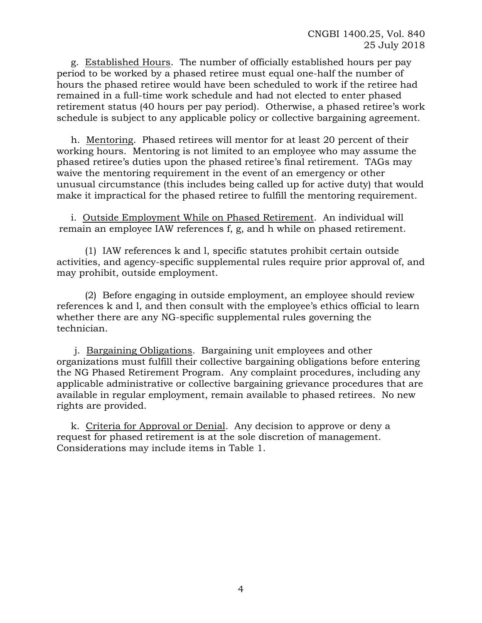g. Established Hours. The number of officially established hours per pay period to be worked by a phased retiree must equal one-half the number of hours the phased retiree would have been scheduled to work if the retiree had remained in a full-time work schedule and had not elected to enter phased retirement status (40 hours per pay period). Otherwise, a phased retiree's work schedule is subject to any applicable policy or collective bargaining agreement.

h. Mentoring. Phased retirees will mentor for at least 20 percent of their working hours. Mentoring is not limited to an employee who may assume the phased retiree's duties upon the phased retiree's final retirement. TAGs may waive the mentoring requirement in the event of an emergency or other unusual circumstance (this includes being called up for active duty) that would make it impractical for the phased retiree to fulfill the mentoring requirement.

i. Outside Employment While on Phased Retirement. An individual will remain an employee IAW references f, g, and h while on phased retirement.

(1) IAW references k and l, specific statutes prohibit certain outside activities, and agency-specific supplemental rules require prior approval of, and may prohibit, outside employment.

(2) Before engaging in outside employment, an employee should review references k and l, and then consult with the employee's ethics official to learn whether there are any NG-specific supplemental rules governing the technician.

j. Bargaining Obligations. Bargaining unit employees and other organizations must fulfill their collective bargaining obligations before entering the NG Phased Retirement Program. Any complaint procedures, including any applicable administrative or collective bargaining grievance procedures that are available in regular employment, remain available to phased retirees. No new rights are provided.

k. Criteria for Approval or Denial. Any decision to approve or deny a request for phased retirement is at the sole discretion of management. Considerations may include items in Table 1.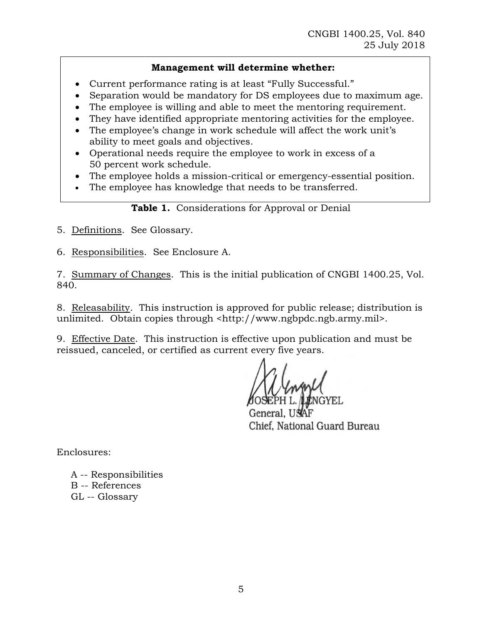# **Management will determine whether:**

- Current performance rating is at least "Fully Successful."
- Separation would be mandatory for DS employees due to maximum age.
- The employee is willing and able to meet the mentoring requirement.
- They have identified appropriate mentoring activities for the employee.
- The employee's change in work schedule will affect the work unit's ability to meet goals and objectives.
- Operational needs require the employee to work in excess of a 50 percent work schedule.
- The employee holds a mission-critical or emergency-essential position.
- The employee has knowledge that needs to be transferred.

**Table 1.** Considerations for Approval or Denial

5. Definitions. See Glossary.

6. Responsibilities. See Enclosure A.

7. Summary of Changes. This is the initial publication of CNGBI 1400.25, Vol. 840.

8. Releasability. This instruction is approved for public release; distribution is unlimited. Obtain copies through <http://www.ngbpdc.ngb.army.mil>.

9. Effective Date. This instruction is effective upon publication and must be reissued, canceled, or certified as current every five years.

General, UNAF Chief, National Guard Bureau

Enclosures:

A -- Responsibilities B -- References GL -- Glossary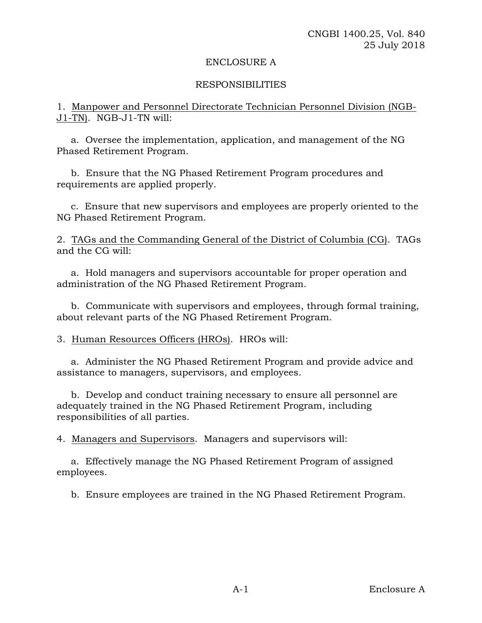#### ENCLOSURE A

#### RESPONSIBILITIES

1. Manpower and Personnel Directorate Technician Personnel Division (NGB-J1-TN). NGB-J1-TN will:

a. Oversee the implementation, application, and management of the NG Phased Retirement Program.

b. Ensure that the NG Phased Retirement Program procedures and requirements are applied properly.

c. Ensure that new supervisors and employees are properly oriented to the NG Phased Retirement Program.

2. TAGs and the Commanding General of the District of Columbia (CG). TAGs and the CG will:

a. Hold managers and supervisors accountable for proper operation and administration of the NG Phased Retirement Program.

b. Communicate with supervisors and employees, through formal training, about relevant parts of the NG Phased Retirement Program.

3. Human Resources Officers (HROs). HROs will:

a. Administer the NG Phased Retirement Program and provide advice and assistance to managers, supervisors, and employees.

b. Develop and conduct training necessary to ensure all personnel are adequately trained in the NG Phased Retirement Program, including responsibilities of all parties.

4. Managers and Supervisors. Managers and supervisors will:

a. Effectively manage the NG Phased Retirement Program of assigned employees.

b. Ensure employees are trained in the NG Phased Retirement Program.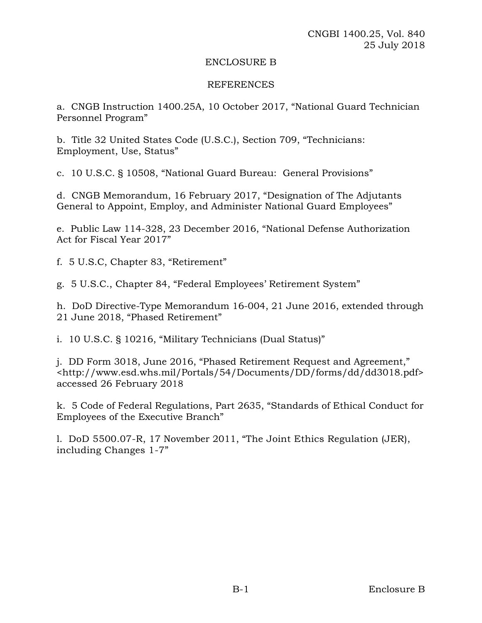#### ENCLOSURE B

#### REFERENCES

a. CNGB Instruction 1400.25A, 10 October 2017, "National Guard Technician Personnel Program"

b. Title 32 United States Code (U.S.C.), Section 709, "Technicians: Employment, Use, Status"

c. 10 U.S.C. § 10508, "National Guard Bureau: General Provisions"

d. CNGB Memorandum, 16 February 2017, "Designation of The Adjutants General to Appoint, Employ, and Administer National Guard Employees"

e. Public Law 114-328, 23 December 2016, "National Defense Authorization Act for Fiscal Year 2017"

f. 5 U.S.C, Chapter 83, "Retirement"

g. 5 U.S.C., Chapter 84, "Federal Employees' Retirement System"

h. DoD Directive-Type Memorandum 16-004, 21 June 2016, extended through 21 June 2018, "Phased Retirement"

i. 10 U.S.C. § 10216, "Military Technicians (Dual Status)"

j. DD Form 3018, June 2016, "Phased Retirement Request and Agreement," <http://www.esd.whs.mil/Portals/54/Documents/DD/forms/dd/dd3018.pdf> accessed 26 February 2018

k. 5 Code of Federal Regulations, Part 2635, "Standards of Ethical Conduct for Employees of the Executive Branch"

l. DoD 5500.07-R, 17 November 2011, "The Joint Ethics Regulation (JER), including Changes 1-7"